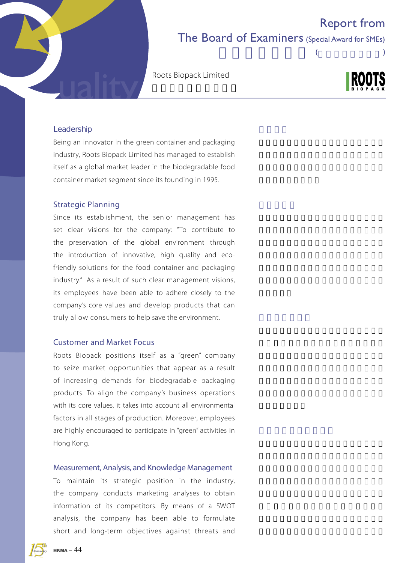# Report from

### The Board of Examiners (Special Award for SMEs)

 $($ 

Roots Biopack Limited



#### Leadership

Being an innovator in the green container and packaging industry, Roots Biopack Limited has managed to establish itself as a global market leader in the biodegradable food container market segment since its founding in 1995.

### Strategic Planning

Since its establishment, the senior management has set clear visions for the company: "To contribute to the preservation of the global environment through the introduction of innovative, high quality and ecofriendly solutions for the food container and packaging industry." As a result of such clear management visions, its employees have been able to adhere closely to the company's core values and develop products that can truly allow consumers to help save the environment.

### Customer and Market Focus

Roots Biopack positions itself as a "green" company to seize market opportunities that appear as a result of increasing demands for biodegradable packaging products. To align the company's business operations with its core values, it takes into account all environmental factors in all stages of production. Moreover, employees are highly encouraged to participate in "green" activities in Hong Kong.

#### Measurement, Analysis, and Knowledge Management

To maintain its strategic position in the industry, the company conducts marketing analyses to obtain information of its competitors. By means of a SWOT analysis, the company has been able to formulate short and long-term objectives against threats and

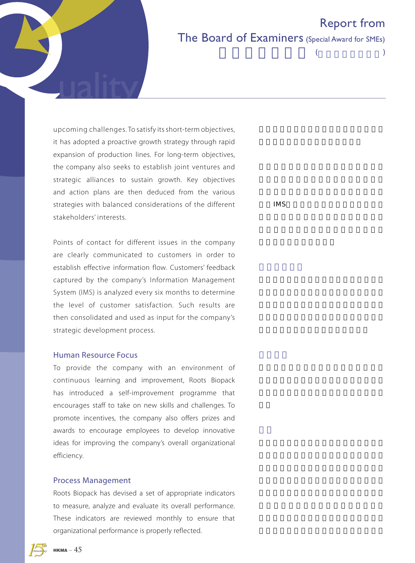

# Report from The Board of Examiners (Special Award for SMEs)

 $($ 

upcoming challenges. To satisfy its short-term objectives, it has adopted a proactive growth strategy through rapid expansion of production lines. For long-term objectives, the company also seeks to establish joint ventures and strategic alliances to sustain growth. Key objectives and action plans are then deduced from the various strategies with balanced considerations of the different stakeholders' interests.

Points of contact for different issues in the company are clearly communicated to customers in order to establish effective information flow. Customers' feedback captured by the company's Information Management System (IMS) is analyzed every six months to determine the level of customer satisfaction. Such results are then consolidated and used as input for the company's strategic development process.

### Human Resource Focus

To provide the company with an environment of continuous learning and improvement, Roots Biopack has introduced a self-improvement programme that encourages staff to take on new skills and challenges. To promote incentives, the company also offers prizes and awards to encourage employees to develop innovative ideas for improving the company's overall organizational efficiency.

### Process Management

Roots Biopack has devised a set of appropriate indicators to measure, analyze and evaluate its overall performance. These indicators are reviewed monthly to ensure that organizational performance is properly reflected.